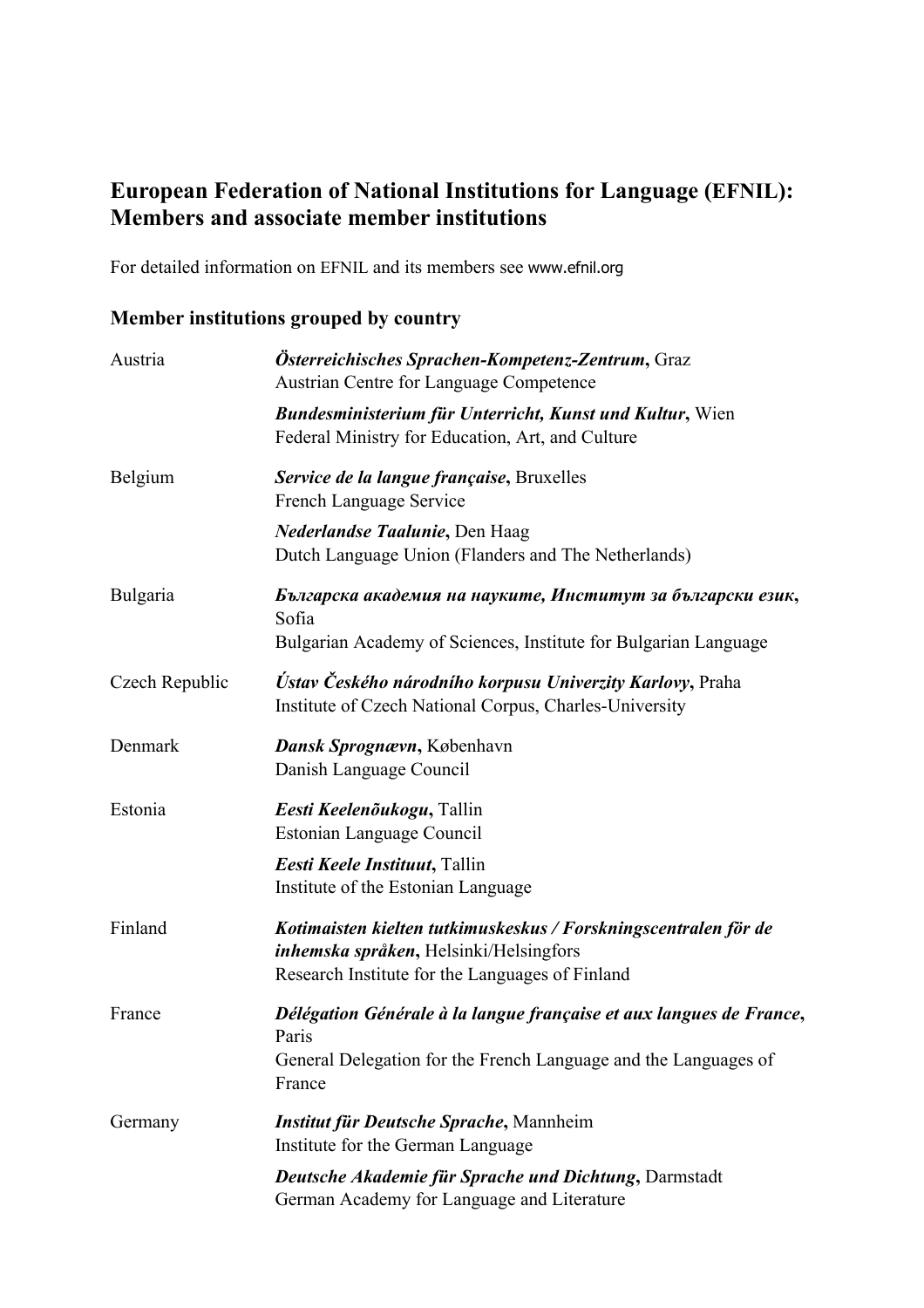## **European Federation of National Institutions for Language (EFNIL): Members and associate member institutions**

For detailed information on EFNIL and its members see www.efnil.org

## **Member institutions grouped by country**

| Austria        | Österreichisches Sprachen-Kompetenz-Zentrum, Graz<br>Austrian Centre for Language Competence                                                                 |  |
|----------------|--------------------------------------------------------------------------------------------------------------------------------------------------------------|--|
|                | <b>Bundesministerium für Unterricht, Kunst und Kultur, Wien</b><br>Federal Ministry for Education, Art, and Culture                                          |  |
| Belgium        | Service de la langue française, Bruxelles<br>French Language Service                                                                                         |  |
|                | <b>Nederlandse Taalunie, Den Haag</b><br>Dutch Language Union (Flanders and The Netherlands)                                                                 |  |
| Bulgaria       | Българска академия на науките, Институт за български език,<br>Sofia<br>Bulgarian Academy of Sciences, Institute for Bulgarian Language                       |  |
| Czech Republic | <b>Ústav Českého národního korpusu Univerzity Karlovy, Praha</b><br>Institute of Czech National Corpus, Charles-University                                   |  |
| Denmark        | Dansk Sprognævn, København<br>Danish Language Council                                                                                                        |  |
| Estonia        | Eesti Keelenõukogu, Tallin<br>Estonian Language Council                                                                                                      |  |
|                | Eesti Keele Instituut, Tallin<br>Institute of the Estonian Language                                                                                          |  |
| Finland        | Kotimaisten kielten tutkimuskeskus / Forskningscentralen för de<br>inhemska språken, Helsinki/Helsingfors<br>Research Institute for the Languages of Finland |  |
| France         | Délégation Générale à la langue française et aux langues de France,<br>Paris<br>General Delegation for the French Language and the Languages of<br>France    |  |
| Germany        | <b>Institut für Deutsche Sprache, Mannheim</b><br>Institute for the German Language                                                                          |  |
|                | Deutsche Akademie für Sprache und Dichtung, Darmstadt<br>German Academy for Language and Literature                                                          |  |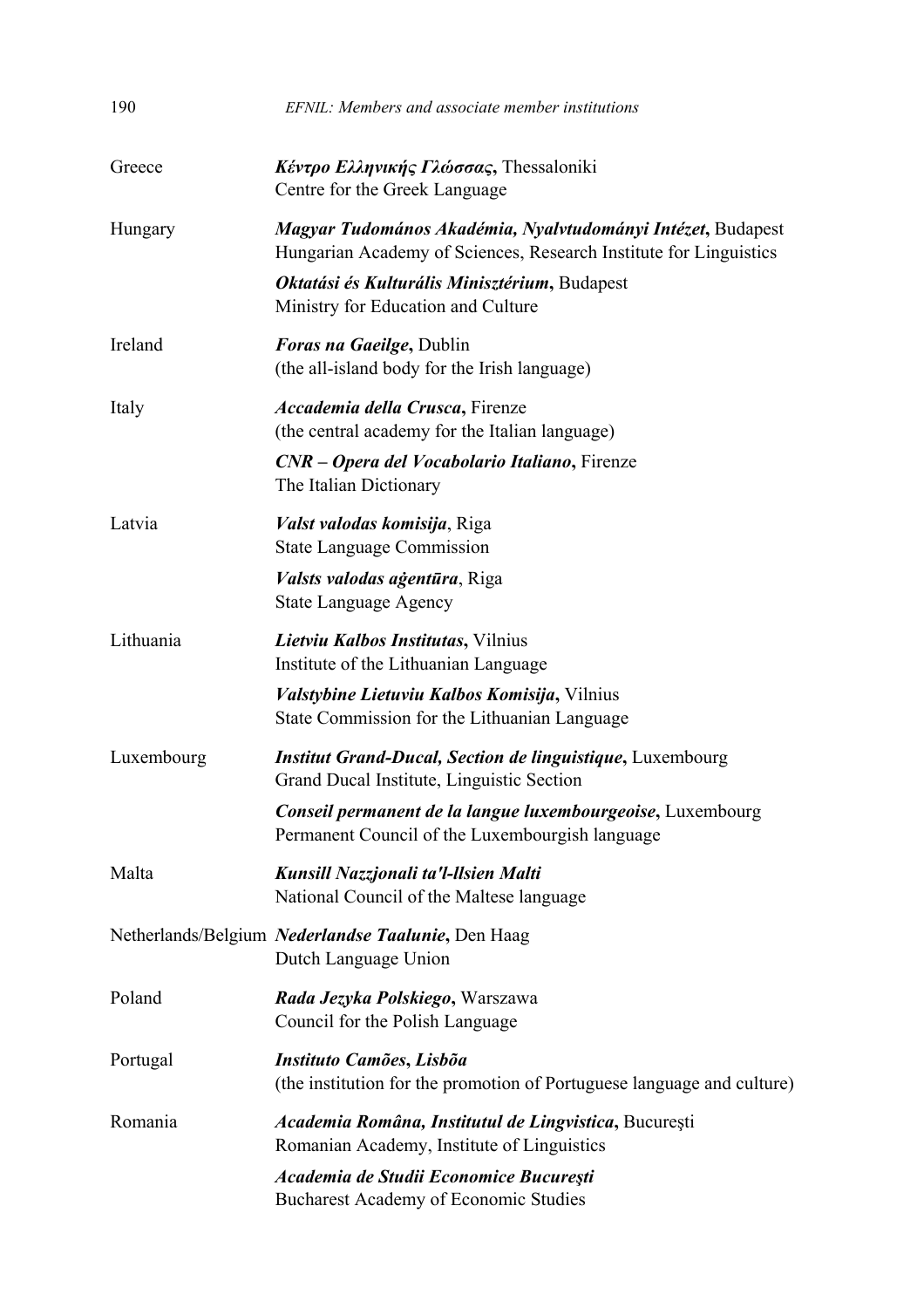| 190        | EFNIL: Members and associate member institutions                                                                                 |
|------------|----------------------------------------------------------------------------------------------------------------------------------|
| Greece     | Κέντρο Ελληνικής Γλώσσας, Thessaloniki<br>Centre for the Greek Language                                                          |
| Hungary    | Magyar Tudomános Akadémia, Nyalvtudományi Intézet, Budapest<br>Hungarian Academy of Sciences, Research Institute for Linguistics |
|            | Oktatási és Kulturális Minisztérium, Budapest<br>Ministry for Education and Culture                                              |
| Ireland    | <b>Foras na Gaeilge, Dublin</b><br>(the all-island body for the Irish language)                                                  |
| Italy      | Accademia della Crusca, Firenze<br>(the central academy for the Italian language)                                                |
|            | CNR – Opera del Vocabolario Italiano, Firenze<br>The Italian Dictionary                                                          |
| Latvia     | Valst valodas komisija, Riga<br><b>State Language Commission</b>                                                                 |
|            | Valsts valodas agentūra, Riga<br><b>State Language Agency</b>                                                                    |
| Lithuania  | Lietviu Kalbos Institutas, Vilnius<br>Institute of the Lithuanian Language                                                       |
|            | <i>Valstybine Lietuviu Kalbos Komisija, Vilnius</i><br>State Commission for the Lithuanian Language                              |
| Luxembourg | <b>Institut Grand-Ducal, Section de linguistique, Luxembourg</b><br>Grand Ducal Institute, Linguistic Section                    |
|            | Conseil permanent de la langue luxembourgeoise, Luxembourg<br>Permanent Council of the Luxembourgish language                    |
| Malta      | Kunsill Nazzjonali ta'l-llsien Malti<br>National Council of the Maltese language                                                 |
|            | Netherlands/Belgium Nederlandse Taalunie, Den Haag<br>Dutch Language Union                                                       |
| Poland     | Rada Jezyka Polskiego, Warszawa<br>Council for the Polish Language                                                               |
| Portugal   | Instituto Camões, Lisbõa<br>(the institution for the promotion of Portuguese language and culture)                               |
| Romania    | Academia Româna, Institutul de Lingvistica, București<br>Romanian Academy, Institute of Linguistics                              |
|            | Academia de Studii Economice București<br><b>Bucharest Academy of Economic Studies</b>                                           |